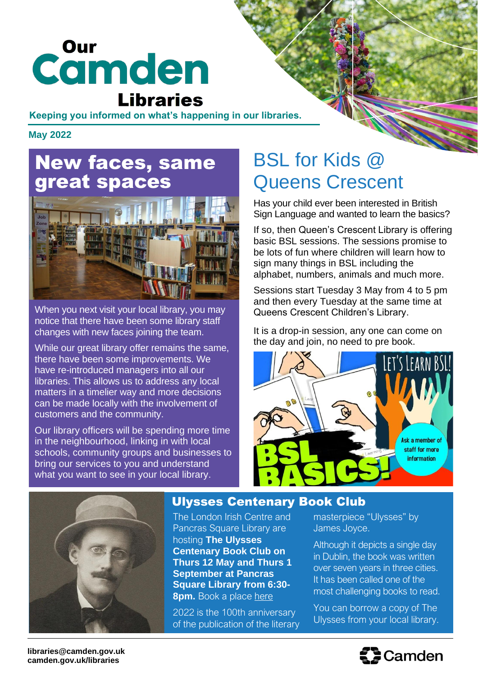# **Camden Libraries**

#### **Keeping you informed on what's happening in our libraries.**

**May 2022**

# New faces, same great spaces



When you next visit your local library, you may notice that there have been some library staff changes with new faces joining the team.

While our great library offer remains the same, there have been some improvements. We have re-introduced managers into all our libraries. This allows us to address any local matters in a timelier way and more decisions can be made locally with the involvement of customers and the community.

Our library officers will be spending more time in the neighbourhood, linking in with local schools, community groups and businesses to bring our services to you and understand what you want to see in your local library.

# BSL for Kids @ Queens Crescent

Has your child ever been interested in British Sign Language and wanted to learn the basics?

If so, then Queen's Crescent Library is offering basic BSL sessions. The sessions promise to be lots of fun where children will learn how to sign many things in BSL including the alphabet, numbers, animals and much more.

Sessions start Tuesday 3 May from 4 to 5 pm and then every Tuesday at the same time at Queens Crescent Children's Library.

It is a drop-in session, any one can come on the day and join, no need to pre book.





#### Ulysses Centenary Book Club

The London Irish Centre and Pancras Square Library are hosting **The Ulysses Centenary Book Club on Thurs 12 May and Thurs 1 September at Pancras Square Library from 6:30- 8pm.** Book a place [here](https://londonirishcentre.org/events/the-ulysses-centenary-book-club/)

2022 is the 100th anniversary of the publication of the literary

masterpiece "Ulysses" by

masterpiece "Ulysses" by James Joyce.

Although it depicts a single day in Dublin, the book was written over seven years in three cities. It has been called one of the most challenging books to read.

You can borrow a copy of The Ulysses from your local library.

**libraries@camden.gov.uk camden.gov.uk/libraries**